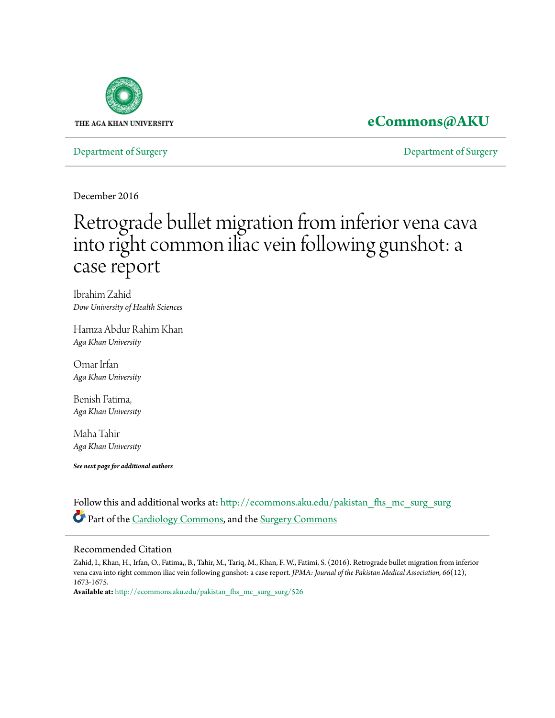

## **[eCommons@AKU](http://ecommons.aku.edu?utm_source=ecommons.aku.edu%2Fpakistan_fhs_mc_surg_surg%2F526&utm_medium=PDF&utm_campaign=PDFCoverPages)**

[Department of Surgery](http://ecommons.aku.edu/pakistan_fhs_mc_surg_surg?utm_source=ecommons.aku.edu%2Fpakistan_fhs_mc_surg_surg%2F526&utm_medium=PDF&utm_campaign=PDFCoverPages) [Department of Surgery](http://ecommons.aku.edu/pakistan_fhs_mc_surg?utm_source=ecommons.aku.edu%2Fpakistan_fhs_mc_surg_surg%2F526&utm_medium=PDF&utm_campaign=PDFCoverPages)

December 2016

# Retrograde bullet migration from inferior vena cava into right common iliac vein following gunshot: a case report

Ibrahim Zahid *Dow University of Health Sciences*

Hamza Abdur Rahim Khan *Aga Khan University*

Omar Irfan *Aga Khan University*

Benish Fatima, *Aga Khan University*

Maha Tahir *Aga Khan University*

*See next page for additional authors*

Follow this and additional works at: [http://ecommons.aku.edu/pakistan\\_fhs\\_mc\\_surg\\_surg](http://ecommons.aku.edu/pakistan_fhs_mc_surg_surg?utm_source=ecommons.aku.edu%2Fpakistan_fhs_mc_surg_surg%2F526&utm_medium=PDF&utm_campaign=PDFCoverPages) Part of the [Cardiology Commons](http://network.bepress.com/hgg/discipline/683?utm_source=ecommons.aku.edu%2Fpakistan_fhs_mc_surg_surg%2F526&utm_medium=PDF&utm_campaign=PDFCoverPages), and the [Surgery Commons](http://network.bepress.com/hgg/discipline/706?utm_source=ecommons.aku.edu%2Fpakistan_fhs_mc_surg_surg%2F526&utm_medium=PDF&utm_campaign=PDFCoverPages)

#### Recommended Citation

Zahid, I., Khan, H., Irfan, O., Fatima,, B., Tahir, M., Tariq, M., Khan, F. W., Fatimi, S. (2016). Retrograde bullet migration from inferior vena cava into right common iliac vein following gunshot: a case report. *JPMA: Journal of the Pakistan Medical Association, 66*(12), 1673-1675.

**Available at:** [http://ecommons.aku.edu/pakistan\\_fhs\\_mc\\_surg\\_surg/526](http://ecommons.aku.edu/pakistan_fhs_mc_surg_surg/526)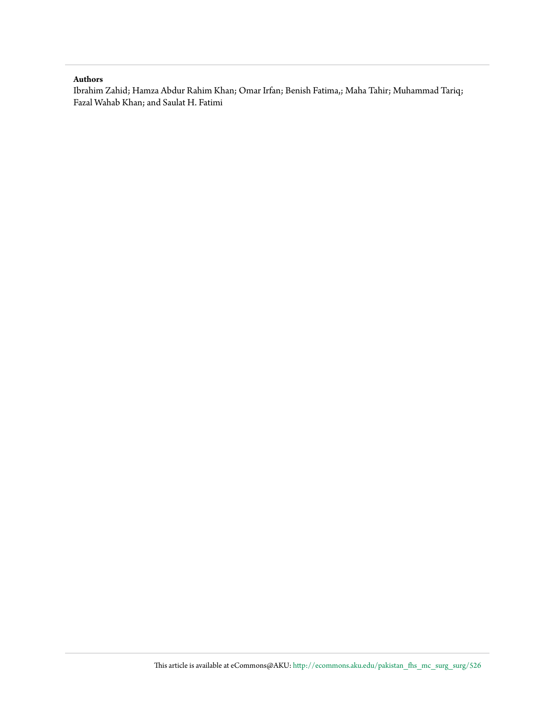#### **Authors**

Ibrahim Zahid; Hamza Abdur Rahim Khan; Omar Irfan; Benish Fatima,; Maha Tahir; Muhammad Tariq; Fazal Wahab Khan; and Saulat H. Fatimi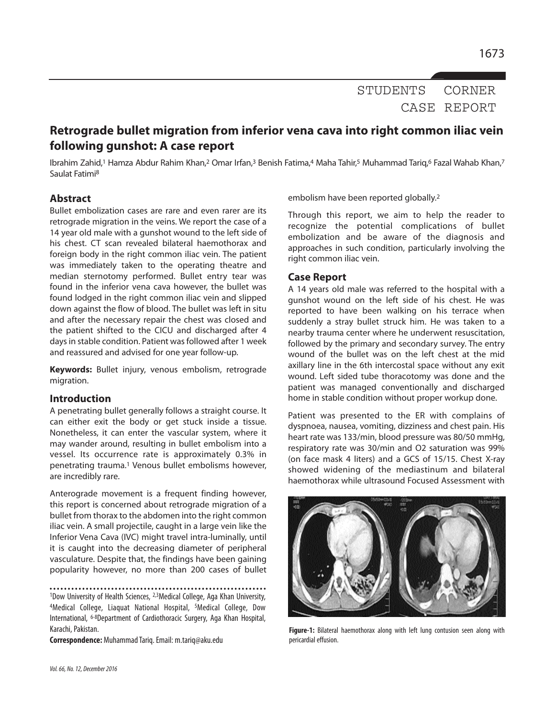STUDENTS CORNER CASE REPORT

### **Retrograde bullet migration from inferior vena cava into right common iliac vein following gunshot: A case report**

Ibrahim Zahid,<sup>1</sup> Hamza Abdur Rahim Khan,<sup>2</sup> Omar Irfan,<sup>3</sup> Benish Fatima,4 Maha Tahir,5 Muhammad Tariq,6 Fazal Wahab Khan,7 Saulat Fatimi 8

#### **Abstract**

Bullet embolization cases are rare and even rarer are its retrograde migration in the veins. We report the case of a 14 year old male with a gunshot wound to the left side of his chest. CT scan revealed bilateral haemothorax and foreign body in the right common iliac vein. The patient was immediately taken to the operating theatre and median sternotomy performed. Bullet entry tear was found in the inferior vena cava however, the bullet was found lodged in the right common iliac vein and slipped down against the flow of blood. The bullet was left in situ and after the necessary repair the chest was closed and the patient shifted to the CICU and discharged after 4 days in stable condition. Patient was followed after 1 week and reassured and advised for one year follow-up.

**Keywords:** Bullet injury, venous embolism, retrograde migration.

#### **Introduction**

A penetrating bullet generally follows a straight course. It can either exit the body or get stuck inside a tissue. Nonetheless, it can enter the vascular system, where it may wander around, resulting in bullet embolism into a vessel. Its occurrence rate is approximately 0.3% in penetrating trauma. <sup>1</sup> Venous bullet embolisms however, are incredibly rare.

Anterograde movement is a frequent finding however, this report is concerned about retrograde migration of a bullet from thorax to the abdomen into the right common iliac vein. A small projectile, caught in a large vein like the Inferior Vena Cava (IVC) might travel intra-luminally, until it is caught into the decreasing diameter of peripheral vasculature. Despite that, the findings have been gaining popularity however, no more than 200 cases of bullet

1Dow University of Health Sciences, <sup>2,3</sup>Medical College, Aga Khan University, 4Medical College, Liaquat National Hospital, 5Medical College, Dow International, 6-8Department of Cardiothoracic Surgery, Aga Khan Hospital, Karachi, Pakistan.

**Correspondence:** MuhammadTariq.Email: m.tariq@aku.edu

embolism have been reported globally. 2

Through this report, we aim to help the reader to recognize the potential complications of bullet embolization and be aware of the diagnosis and approaches in such condition, particularly involving the right common iliac vein.

#### **Case Report**

A 14 years old male was referred to the hospital with a gunshot wound on the left side of his chest. He was reported to have been walking on his terrace when suddenly a stray bullet struck him. He was taken to a nearby trauma center where he underwent resuscitation, followed by the primary and secondary survey. The entry wound of the bullet was on the left chest at the mid axillary line in the 6th intercostal space without any exit wound. Left sided tube thoracotomy was done and the patient was managed conventionally and discharged home in stable condition without proper workup done.

Patient was presented to the ER with complains of dyspnoea, nausea, vomiting, dizziness and chest pain. His heart rate was 133/min, blood pressure was 80/50 mmHg, respiratory rate was 30/min and O2 saturation was 99% (on face mask 4 liters) and a GCS of 15/15. Chest X-ray showed widening of the mediastinum and bilateral haemothorax while ultrasound Focused Assessment with



**Figure-1:** Bilateral haemothorax along with left lung contusion seen along with pericardial effusion.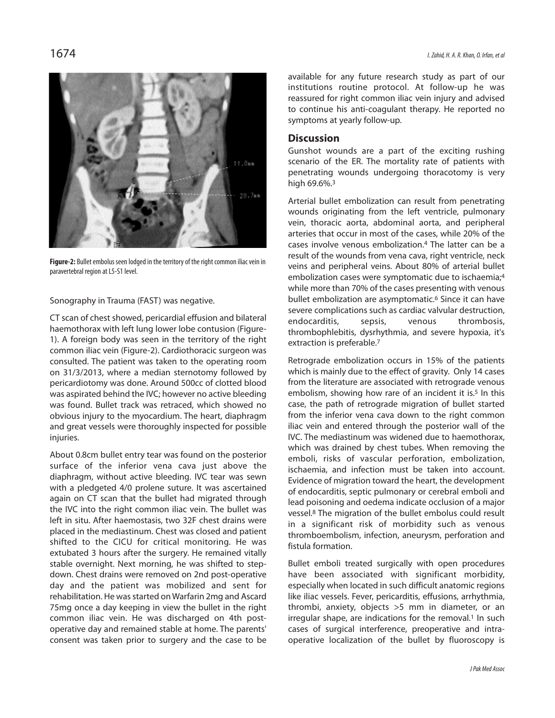

Figure-2: Bullet embolus seen lodged in the territory of the right common iliac vein in paravertebral region at L5-S1 level.

Sonography in Trauma (FAST) was negative.

CT scan of chest showed, pericardial effusion and bilateral haemothorax with left lung lower lobe contusion (Figure-1). A foreign body was seen in the territory of the right common iliac vein (Figure-2). Cardiothoracic surgeon was consulted. The patient was taken to the operating room on 31/3/2013, where a median sternotomy followed by pericardiotomy was done. Around 500cc of clotted blood was aspirated behind the IVC; however no active bleeding was found. Bullet track was retraced, which showed no obvious injury to the myocardium. The heart, diaphragm and great vessels were thoroughly inspected for possible injuries.

About 0.8cm bullet entry tear was found on the posterior surface of the inferior vena cava just above the diaphragm, without active bleeding. IVC tear was sewn with a pledgeted 4/0 prolene suture. It was ascertained again on CT scan that the bullet had migrated through the IVC into the right common iliac vein. The bullet was left in situ. After haemostasis, two 32F chest drains were placed in the mediastinum. Chest was closed and patient shifted to the CICU for critical monitoring. He was extubated 3 hours after the surgery. He remained vitally stable overnight. Next morning, he was shifted to stepdown. Chest drains were removed on 2nd post-operative day and the patient was mobilized and sent for rehabilitation. He was started on Warfarin 2mg and Ascard 75mg once a day keeping in view the bullet in the right common iliac vein. He was discharged on 4th postoperative day and remained stable at home. The parents' consent was taken prior to surgery and the case to be available for any future research study as part of our institutions routine protocol. At follow-up he was reassured for right common iliac vein injury and advised to continue his anti-coagulant therapy. He reported no symptoms at yearly follow-up.

#### **Discussion**

Gunshot wounds are a part of the exciting rushing scenario of the ER. The mortality rate of patients with penetrating wounds undergoing thoracotomy is very high 69.6%.<sup>3</sup>

Arterial bullet embolization can result from penetrating wounds originating from the left ventricle, pulmonary vein, thoracic aorta, abdominal aorta, and peripheral arteries that occur in most of the cases, while 20% of the cases involve venous embolization. <sup>4</sup> The latter can be a result of the wounds from vena cava, right ventricle, neck veins and peripheral veins. About 80% of arterial bullet embolization cases were symptomatic due to ischaemia; 4 while more than 70% of the cases presenting with venous bullet embolization are asymptomatic. <sup>6</sup> Since it can have severe complications such as cardiac valvular destruction, endocarditis, sepsis, venous thrombosis, thrombophlebitis, dysrhythmia, and severe hypoxia, it's extraction is preferable. 7

Retrograde embolization occurs in 15% of the patients which is mainly due to the effect of gravity. Only 14 cases from the literature are associated with retrograde venous embolism, showing how rare of an incident it is. <sup>5</sup> In this case, the path of retrograde migration of bullet started from the inferior vena cava down to the right common iliac vein and entered through the posterior wall of the IVC. The mediastinum was widened due to haemothorax, which was drained by chest tubes. When removing the emboli, risks of vascular perforation, embolization, ischaemia, and infection must be taken into account. Evidence of migration toward the heart, the development of endocarditis, septic pulmonary or cerebral emboli and lead poisoning and oedema indicate occlusion of a major vessel. <sup>8</sup> The migration of the bullet embolus could result in a significant risk of morbidity such as venous thromboembolism, infection, aneurysm, perforation and fistula formation.

Bullet emboli treated surgically with open procedures have been associated with significant morbidity, especially when located in such difficult anatomic regions like iliac vessels. Fever, pericarditis, effusions, arrhythmia, thrombi, anxiety, objects >5 mm in diameter, or an irregular shape, are indications for the removal. <sup>1</sup> In such cases of surgical interference, preoperative and intraoperative localization of the bullet by fluoroscopy is